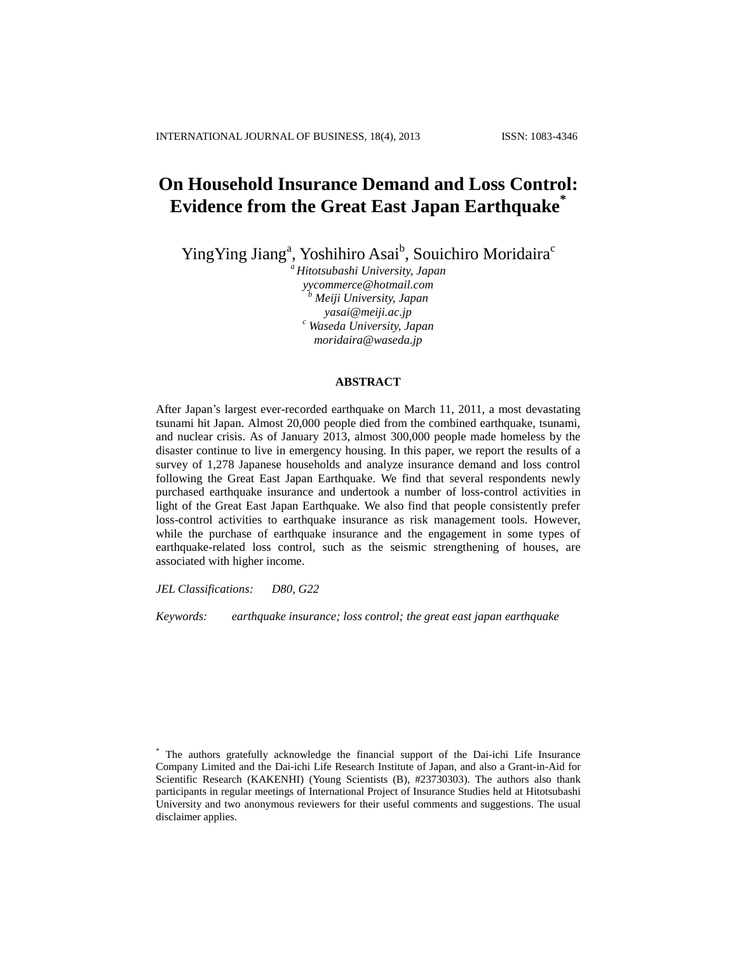# **On Household Insurance Demand and Loss Control: Evidence from the Great East Japan Earthquake\***

Ying Ying Jiang<sup>a</sup>, Yoshihiro Asai<sup>b</sup>, Souichiro Moridaira<sup>c</sup>

*<sup>a</sup>Hitotsubashi University, Japan yycommerce@hotmail.com <sup>b</sup> Meiji University, Japan yasai@meiji.ac.jp <sup>c</sup> Waseda University, Japan moridaira@waseda.jp*

# **ABSTRACT**

After Japan's largest ever-recorded earthquake on March 11, 2011, a most devastating tsunami hit Japan. Almost 20,000 people died from the combined earthquake, tsunami, and nuclear crisis. As of January 2013, almost 300,000 people made homeless by the disaster continue to live in emergency housing. In this paper, we report the results of a survey of 1,278 Japanese households and analyze insurance demand and loss control following the Great East Japan Earthquake. We find that several respondents newly purchased earthquake insurance and undertook a number of loss-control activities in light of the Great East Japan Earthquake. We also find that people consistently prefer loss-control activities to earthquake insurance as risk management tools. However, while the purchase of earthquake insurance and the engagement in some types of earthquake-related loss control, such as the seismic strengthening of houses, are associated with higher income.

*JEL Classifications: D80, G22*

*Keywords: earthquake insurance; loss control; the great east japan earthquake*

<sup>\*</sup> The authors gratefully acknowledge the financial support of the Dai-ichi Life Insurance Company Limited and the Dai-ichi Life Research Institute of Japan, and also a Grant-in-Aid for Scientific Research (KAKENHI) (Young Scientists (B), #23730303). The authors also thank participants in regular meetings of International Project of Insurance Studies held at Hitotsubashi University and two anonymous reviewers for their useful comments and suggestions. The usual disclaimer applies.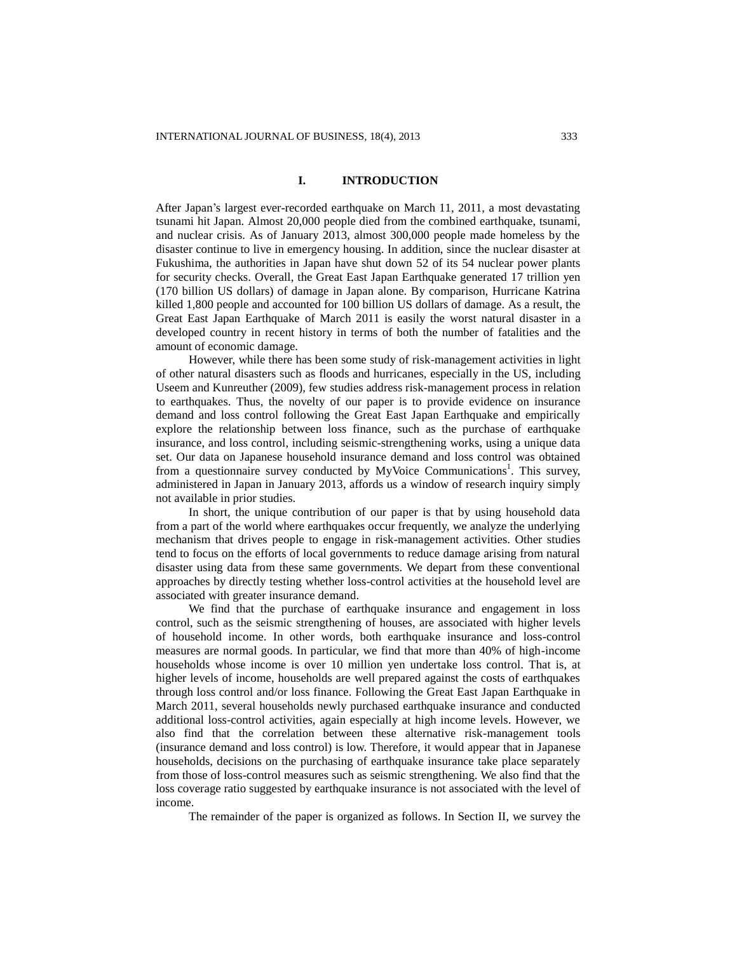# **I. INTRODUCTION**

After Japan's largest ever-recorded earthquake on March 11, 2011, a most devastating tsunami hit Japan. Almost 20,000 people died from the combined earthquake, tsunami, and nuclear crisis. As of January 2013, almost 300,000 people made homeless by the disaster continue to live in emergency housing. In addition, since the nuclear disaster at Fukushima, the authorities in Japan have shut down 52 of its 54 nuclear power plants for security checks. Overall, the Great East Japan Earthquake generated 17 trillion yen (170 billion US dollars) of damage in Japan alone. By comparison, Hurricane Katrina killed 1,800 people and accounted for 100 billion US dollars of damage. As a result, the Great East Japan Earthquake of March 2011 is easily the worst natural disaster in a developed country in recent history in terms of both the number of fatalities and the amount of economic damage.

However, while there has been some study of risk-management activities in light of other natural disasters such as floods and hurricanes, especially in the US, including Useem and Kunreuther (2009), few studies address risk-management process in relation to earthquakes. Thus, the novelty of our paper is to provide evidence on insurance demand and loss control following the Great East Japan Earthquake and empirically explore the relationship between loss finance, such as the purchase of earthquake insurance, and loss control, including seismic-strengthening works, using a unique data set. Our data on Japanese household insurance demand and loss control was obtained from a questionnaire survey conducted by MyVoice Communications<sup>1</sup>. This survey, administered in Japan in January 2013, affords us a window of research inquiry simply not available in prior studies.

In short, the unique contribution of our paper is that by using household data from a part of the world where earthquakes occur frequently, we analyze the underlying mechanism that drives people to engage in risk-management activities. Other studies tend to focus on the efforts of local governments to reduce damage arising from natural disaster using data from these same governments. We depart from these conventional approaches by directly testing whether loss-control activities at the household level are associated with greater insurance demand.

We find that the purchase of earthquake insurance and engagement in loss control, such as the seismic strengthening of houses, are associated with higher levels of household income. In other words, both earthquake insurance and loss-control measures are normal goods. In particular, we find that more than 40% of high-income households whose income is over 10 million yen undertake loss control. That is, at higher levels of income, households are well prepared against the costs of earthquakes through loss control and/or loss finance. Following the Great East Japan Earthquake in March 2011, several households newly purchased earthquake insurance and conducted additional loss-control activities, again especially at high income levels. However, we also find that the correlation between these alternative risk-management tools (insurance demand and loss control) is low. Therefore, it would appear that in Japanese households, decisions on the purchasing of earthquake insurance take place separately from those of loss-control measures such as seismic strengthening. We also find that the loss coverage ratio suggested by earthquake insurance is not associated with the level of income.

The remainder of the paper is organized as follows. In Section II, we survey the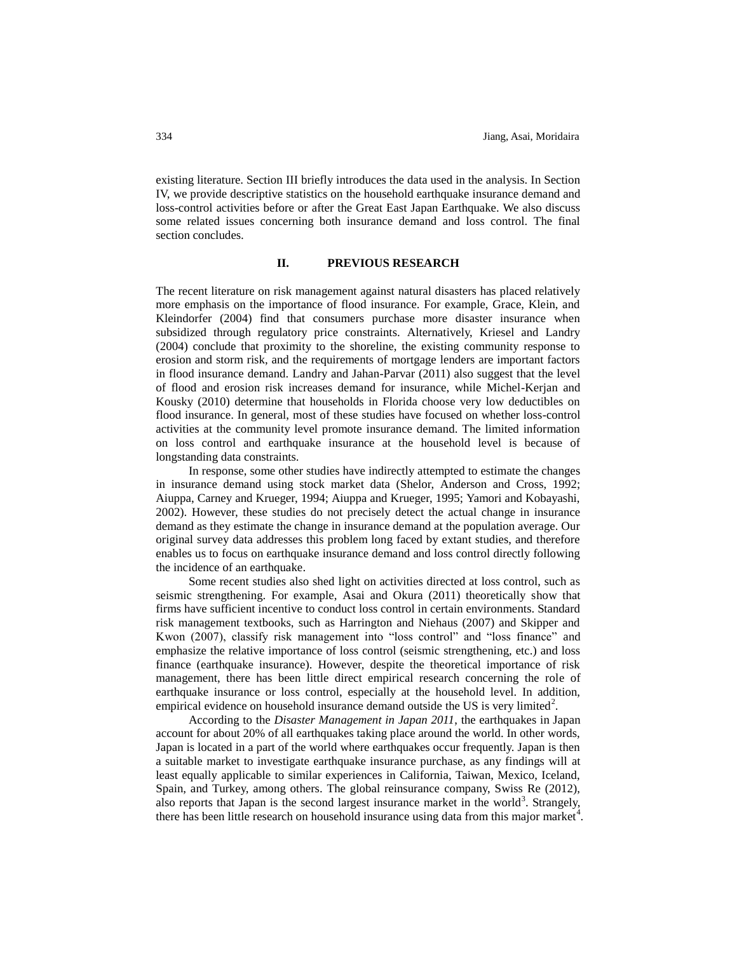existing literature. Section III briefly introduces the data used in the analysis. In Section IV, we provide descriptive statistics on the household earthquake insurance demand and loss-control activities before or after the Great East Japan Earthquake. We also discuss some related issues concerning both insurance demand and loss control. The final section concludes.

#### **II. PREVIOUS RESEARCH**

The recent literature on risk management against natural disasters has placed relatively more emphasis on the importance of flood insurance. For example, Grace, Klein, and Kleindorfer (2004) find that consumers purchase more disaster insurance when subsidized through regulatory price constraints. Alternatively, Kriesel and Landry (2004) conclude that proximity to the shoreline, the existing community response to erosion and storm risk, and the requirements of mortgage lenders are important factors in flood insurance demand. Landry and Jahan-Parvar (2011) also suggest that the level of flood and erosion risk increases demand for insurance, while Michel-Kerjan and Kousky (2010) determine that households in Florida choose very low deductibles on flood insurance. In general, most of these studies have focused on whether loss-control activities at the community level promote insurance demand. The limited information on loss control and earthquake insurance at the household level is because of longstanding data constraints.

In response, some other studies have indirectly attempted to estimate the changes in insurance demand using stock market data (Shelor, Anderson and Cross, 1992; Aiuppa, Carney and Krueger, 1994; Aiuppa and Krueger, 1995; Yamori and Kobayashi, 2002). However, these studies do not precisely detect the actual change in insurance demand as they estimate the change in insurance demand at the population average. Our original survey data addresses this problem long faced by extant studies, and therefore enables us to focus on earthquake insurance demand and loss control directly following the incidence of an earthquake.

Some recent studies also shed light on activities directed at loss control, such as seismic strengthening. For example, Asai and Okura (2011) theoretically show that firms have sufficient incentive to conduct loss control in certain environments. Standard risk management textbooks, such as Harrington and Niehaus (2007) and Skipper and Kwon (2007), classify risk management into "loss control" and "loss finance" and emphasize the relative importance of loss control (seismic strengthening, etc.) and loss finance (earthquake insurance). However, despite the theoretical importance of risk management, there has been little direct empirical research concerning the role of earthquake insurance or loss control, especially at the household level. In addition, empirical evidence on household insurance demand outside the US is very limited<sup>2</sup>.

According to the *Disaster Management in Japan 2011*, the earthquakes in Japan account for about 20% of all earthquakes taking place around the world. In other words, Japan is located in a part of the world where earthquakes occur frequently. Japan is then a suitable market to investigate earthquake insurance purchase, as any findings will at least equally applicable to similar experiences in California, Taiwan, Mexico, Iceland, Spain, and Turkey, among others. The global reinsurance company, Swiss Re (2012), also reports that Japan is the second largest insurance market in the world<sup>3</sup>. Strangely, there has been little research on household insurance using data from this major market<sup>4</sup>.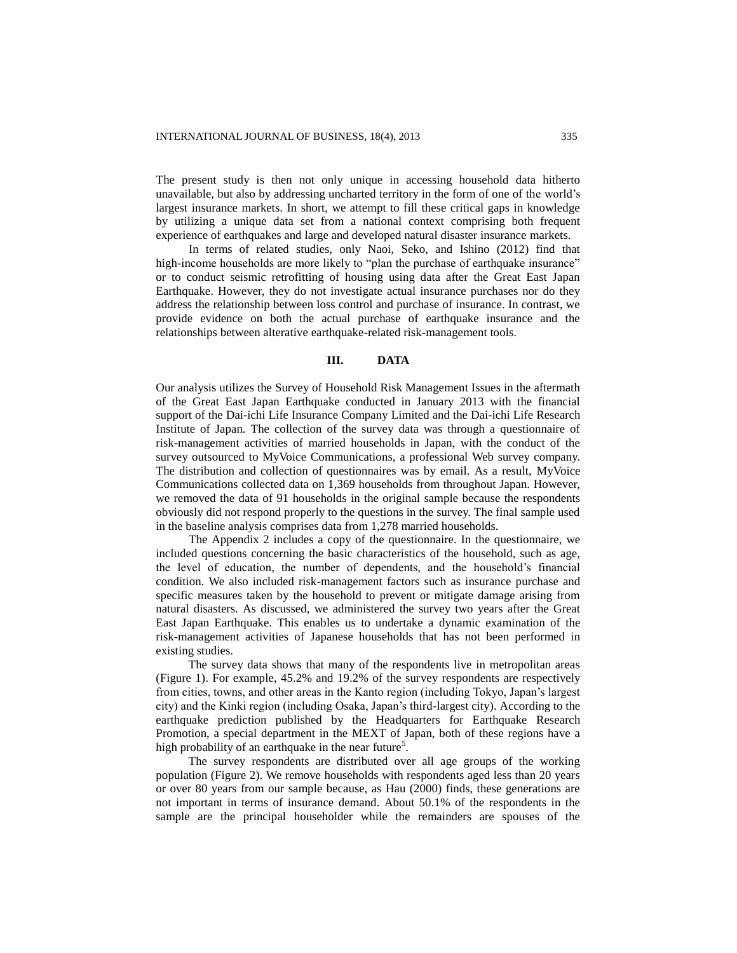The present study is then not only unique in accessing household data hitherto unavailable, but also by addressing uncharted territory in the form of one of the world's largest insurance markets. In short, we attempt to fill these critical gaps in knowledge by utilizing a unique data set from a national context comprising both frequent experience of earthquakes and large and developed natural disaster insurance markets.

In terms of related studies, only Naoi, Seko, and Ishino (2012) find that high-income households are more likely to "plan the purchase of earthquake insurance" or to conduct seismic retrofitting of housing using data after the Great East Japan Earthquake. However, they do not investigate actual insurance purchases nor do they address the relationship between loss control and purchase of insurance. In contrast, we provide evidence on both the actual purchase of earthquake insurance and the relationships between alterative earthquake-related risk-management tools.

# **III. DATA**

Our analysis utilizes the Survey of Household Risk Management Issues in the aftermath of the Great East Japan Earthquake conducted in January 2013 with the financial support of the Dai-ichi Life Insurance Company Limited and the Dai-ichi Life Research Institute of Japan. The collection of the survey data was through a questionnaire of risk-management activities of married households in Japan, with the conduct of the survey outsourced to MyVoice Communications, a professional Web survey company. The distribution and collection of questionnaires was by email. As a result, MyVoice Communications collected data on 1,369 households from throughout Japan. However, we removed the data of 91 households in the original sample because the respondents obviously did not respond properly to the questions in the survey. The final sample used in the baseline analysis comprises data from 1,278 married households.

The Appendix 2 includes a copy of the questionnaire. In the questionnaire, we included questions concerning the basic characteristics of the household, such as age, the level of education, the number of dependents, and the household's financial condition. We also included risk-management factors such as insurance purchase and specific measures taken by the household to prevent or mitigate damage arising from natural disasters. As discussed, we administered the survey two years after the Great East Japan Earthquake. This enables us to undertake a dynamic examination of the risk-management activities of Japanese households that has not been performed in existing studies.

The survey data shows that many of the respondents live in metropolitan areas (Figure 1). For example, 45.2% and 19.2% of the survey respondents are respectively from cities, towns, and other areas in the Kanto region (including Tokyo, Japan's largest city) and the Kinki region (including Osaka, Japan's third-largest city). According to the earthquake prediction published by the Headquarters for Earthquake Research Promotion, a special department in the MEXT of Japan, both of these regions have a high probability of an earthquake in the near future<sup>5</sup>.

The survey respondents are distributed over all age groups of the working population (Figure 2). We remove households with respondents aged less than 20 years or over 80 years from our sample because, as Hau (2000) finds, these generations are not important in terms of insurance demand. About 50.1% of the respondents in the sample are the principal householder while the remainders are spouses of the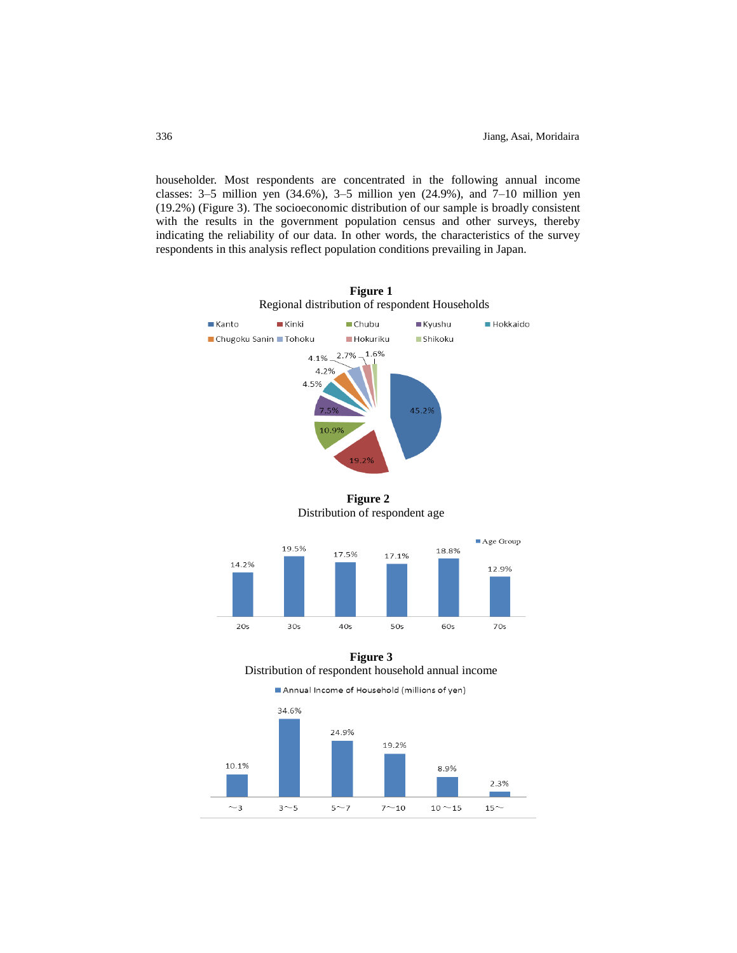householder. Most respondents are concentrated in the following annual income classes: 3–5 million yen (34.6%), 3–5 million yen (24.9%), and 7–10 million yen (19.2%) (Figure 3). The socioeconomic distribution of our sample is broadly consistent with the results in the government population census and other surveys, thereby indicating the reliability of our data. In other words, the characteristics of the survey respondents in this analysis reflect population conditions prevailing in Japan.



**Figure 2** Distribution of respondent age



# **Figure 3**

Distribution of respondent household annual income

Annual Income of Household (millions of yen)

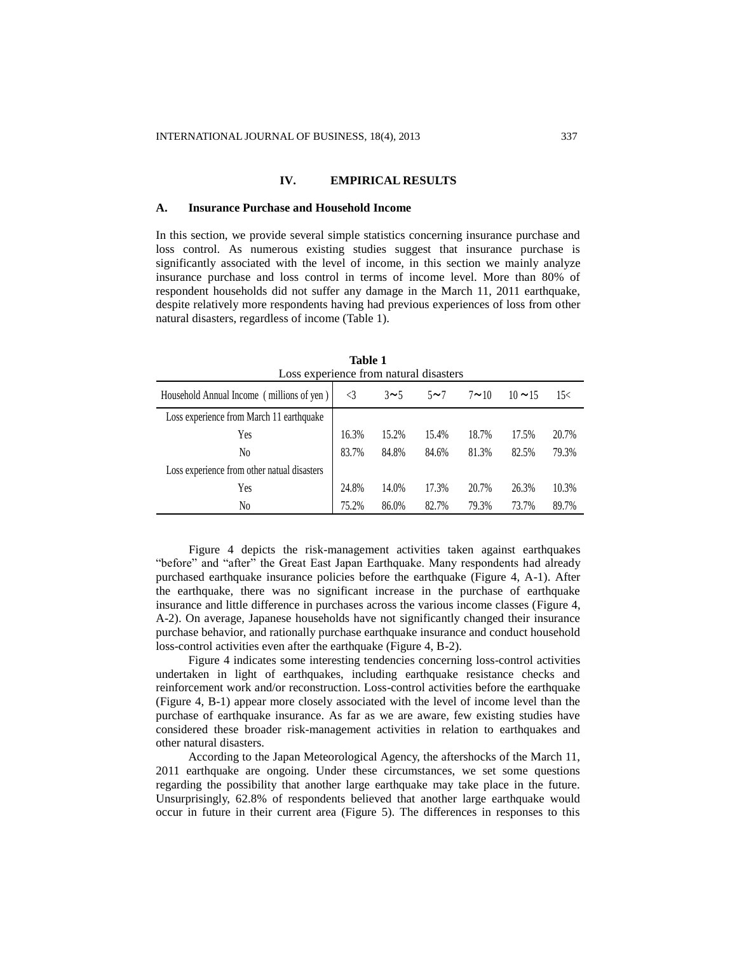## **IV. EMPIRICAL RESULTS**

#### **A. Insurance Purchase and Household Income**

In this section, we provide several simple statistics concerning insurance purchase and loss control. As numerous existing studies suggest that insurance purchase is significantly associated with the level of income, in this section we mainly analyze insurance purchase and loss control in terms of income level. More than 80% of respondent households did not suffer any damage in the March 11, 2011 earthquake, despite relatively more respondents having had previous experiences of loss from other natural disasters, regardless of income (Table 1).

| Loss experience from natural disasters      |       |          |           |             |              |       |
|---------------------------------------------|-------|----------|-----------|-------------|--------------|-------|
| Household Annual Income (millions of yen)   | <3    | $3\sim5$ | $5\sim$ 7 | $7 \sim 10$ | $10 \sim 15$ | 15<   |
| Loss experience from March 11 earthquake    |       |          |           |             |              |       |
| Yes                                         | 16.3% | 15.2%    | 15.4%     | 18.7%       | 17.5%        | 20.7% |
| No                                          | 83.7% | 84.8%    | 84.6%     | 81.3%       | 82.5%        | 79.3% |
| Loss experience from other natual disasters |       |          |           |             |              |       |
| Yes                                         | 24.8% | 14.0%    | 17.3%     | 20.7%       | 26.3%        | 10.3% |
| No                                          | 75.2% | 86.0%    | 82.7%     | 79.3%       | 73.7%        | 89.7% |

**Table 1**

Figure 4 depicts the risk-management activities taken against earthquakes "before" and "after" the Great East Japan Earthquake. Many respondents had already purchased earthquake insurance policies before the earthquake (Figure 4, A-1). After the earthquake, there was no significant increase in the purchase of earthquake insurance and little difference in purchases across the various income classes (Figure 4, A-2). On average, Japanese households have not significantly changed their insurance purchase behavior, and rationally purchase earthquake insurance and conduct household loss-control activities even after the earthquake (Figure 4, B-2).

Figure 4 indicates some interesting tendencies concerning loss-control activities undertaken in light of earthquakes, including earthquake resistance checks and reinforcement work and/or reconstruction. Loss-control activities before the earthquake (Figure 4, B-1) appear more closely associated with the level of income level than the purchase of earthquake insurance. As far as we are aware, few existing studies have considered these broader risk-management activities in relation to earthquakes and other natural disasters.

According to the Japan Meteorological Agency, the aftershocks of the March 11, 2011 earthquake are ongoing. Under these circumstances, we set some questions regarding the possibility that another large earthquake may take place in the future. Unsurprisingly, 62.8% of respondents believed that another large earthquake would occur in future in their current area (Figure 5). The differences in responses to this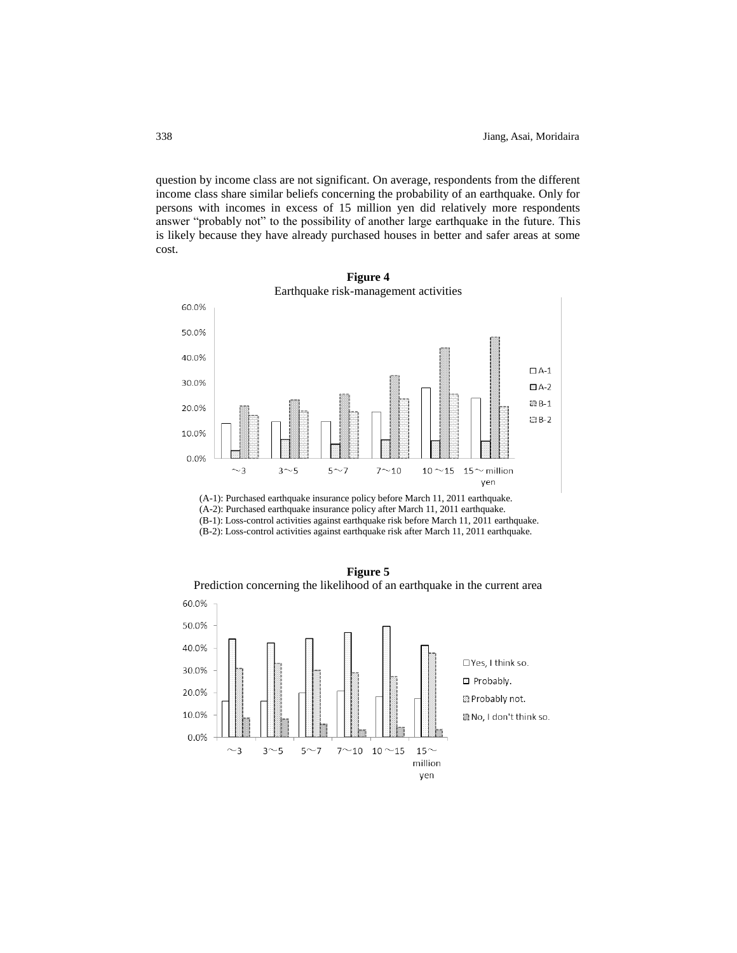question by income class are not significant. On average, respondents from the different income class share similar beliefs concerning the probability of an earthquake. Only for persons with incomes in excess of 15 million yen did relatively more respondents answer "probably not" to the possibility of another large earthquake in the future. This is likely because they have already purchased houses in better and safer areas at some cost.



**Figure 4** Earthquake risk-management activities

(A-1): Purchased earthquake insurance policy before March 11, 2011 earthquake. (A-2): Purchased earthquake insurance policy after March 11, 2011 earthquake.

(B-1): Loss-control activities against earthquake risk before March 11, 2011 earthquake.

(B-2): Loss-control activities against earthquake risk after March 11, 2011 earthquake.



**Figure 5**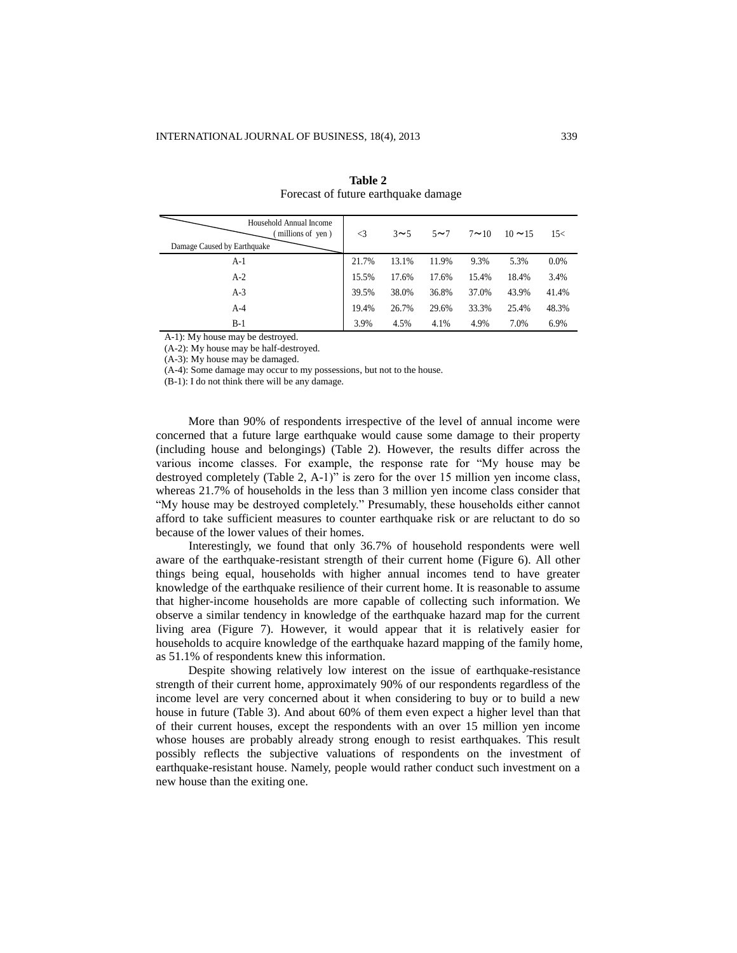| Household Annual Income<br>millions of yen)<br>Damage Caused by Earthquake | $\triangleleft$ | $3\sim$ 5 | $5 \sim 7$ | $7 \sim 10$ | $10 \sim 15$ | 15<     |
|----------------------------------------------------------------------------|-----------------|-----------|------------|-------------|--------------|---------|
| $A-1$                                                                      | 21.7%           | 13.1%     | 11.9%      | 9.3%        | 5.3%         | $0.0\%$ |
| $A-2$                                                                      | 15.5%           | 17.6%     | 17.6%      | 15.4%       | 18.4%        | 3.4%    |
| $A-3$                                                                      | 39.5%           | 38.0%     | 36.8%      | 37.0%       | 43.9%        | 41.4%   |
| $A-4$                                                                      | 19.4%           | 26.7%     | 29.6%      | 33.3%       | 25.4%        | 48.3%   |
| $B-1$                                                                      | 3.9%            | 4.5%      | 4.1%       | 4.9%        | 7.0%         | 6.9%    |

**Table 2** Forecast of future earthquake damage

A-1): My house may be destroyed.

(A-2): My house may be half-destroyed.

(A-3): My house may be damaged.

(A-4): Some damage may occur to my possessions, but not to the house.

(B-1): I do not think there will be any damage.

More than 90% of respondents irrespective of the level of annual income were concerned that a future large earthquake would cause some damage to their property (including house and belongings) (Table 2). However, the results differ across the various income classes. For example, the response rate for "My house may be destroyed completely (Table 2, A-1)" is zero for the over 15 million yen income class, whereas 21.7% of households in the less than 3 million yen income class consider that "My house may be destroyed completely." Presumably, these households either cannot afford to take sufficient measures to counter earthquake risk or are reluctant to do so because of the lower values of their homes.

Interestingly, we found that only 36.7% of household respondents were well aware of the earthquake-resistant strength of their current home (Figure 6). All other things being equal, households with higher annual incomes tend to have greater knowledge of the earthquake resilience of their current home. It is reasonable to assume that higher-income households are more capable of collecting such information. We observe a similar tendency in knowledge of the earthquake hazard map for the current living area (Figure 7). However, it would appear that it is relatively easier for households to acquire knowledge of the earthquake hazard mapping of the family home, as 51.1% of respondents knew this information.

Despite showing relatively low interest on the issue of earthquake-resistance strength of their current home, approximately 90% of our respondents regardless of the income level are very concerned about it when considering to buy or to build a new house in future (Table 3). And about 60% of them even expect a higher level than that of their current houses, except the respondents with an over 15 million yen income whose houses are probably already strong enough to resist earthquakes. This result possibly reflects the subjective valuations of respondents on the investment of earthquake-resistant house. Namely, people would rather conduct such investment on a new house than the exiting one.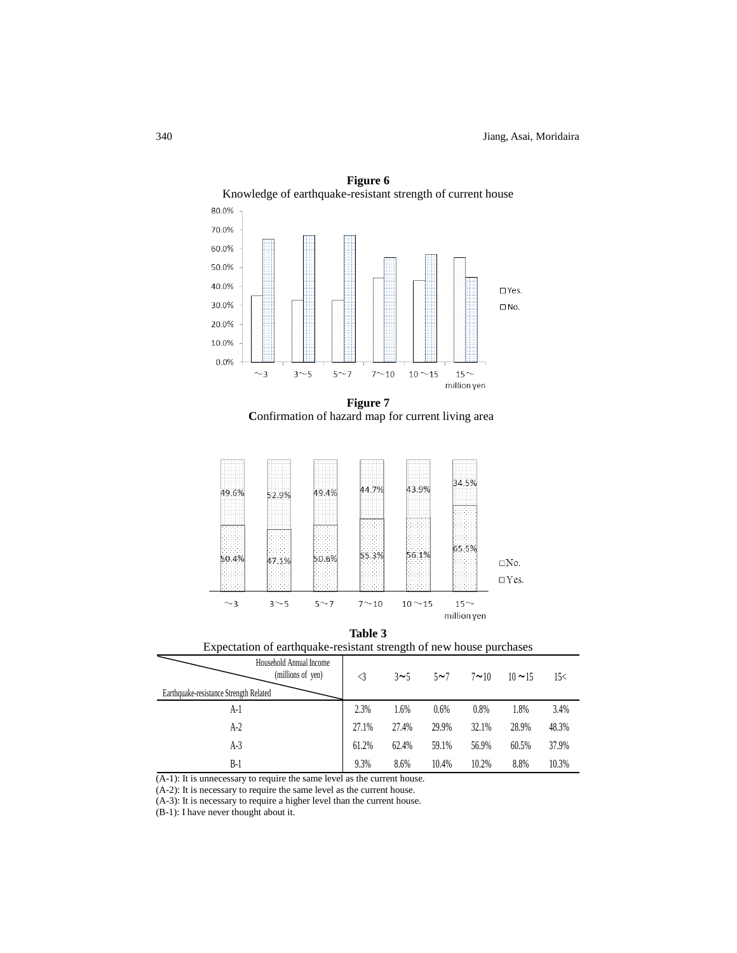

**Figure 6** Knowledge of earthquake-resistant strength of current house

**Figure 7 C**onfirmation of hazard map for current living area







| Household Annual Income<br>(millions of yen) | <3    | 3~1   | $5\sim$ 7 | $7 \sim 10$ | $10 \sim 15$ | 15<   |
|----------------------------------------------|-------|-------|-----------|-------------|--------------|-------|
| Earthquake-resistance Strength Related       |       |       |           |             |              |       |
| A-1                                          | 2.3%  | 1.6%  | 0.6%      | 0.8%        | 1.8%         | 3.4%  |
| $A-2$                                        | 27.1% | 27.4% | 29.9%     | 32.1%       | 28.9%        | 48.3% |
| A-3                                          | 61.2% | 62.4% | 59.1%     | 56.9%       | 60.5%        | 37.9% |
| B-1                                          | 9.3%  | 8.6%  | 10.4%     | 10.2%       | 8.8%         | 10.3% |

(A-1): It is unnecessary to require the same level as the current house.

(A-2): It is necessary to require the same level as the current house.

(A-3): It is necessary to require a higher level than the current house.

(B-1): I have never thought about it.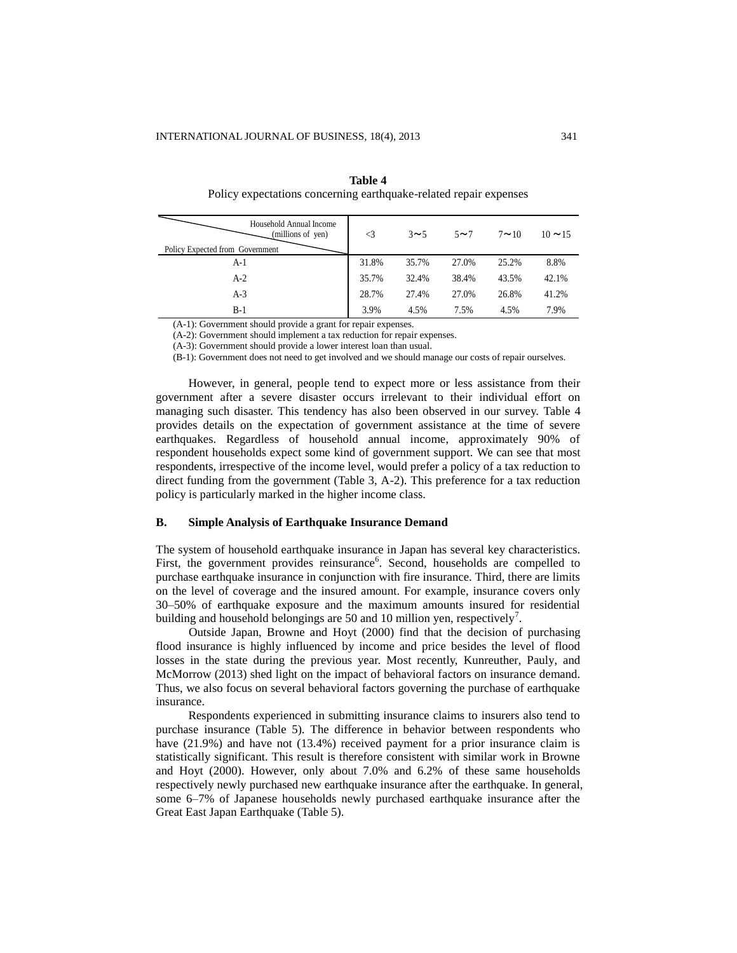| Household Annual Income<br>(millions of yen)<br>Policy Expected from Government | $\triangleleft$ | $3\sim$ 5 | $5 \sim 7$ | $7 \sim 10$ | $10 \approx 15$ |
|---------------------------------------------------------------------------------|-----------------|-----------|------------|-------------|-----------------|
| $A-1$                                                                           | 31.8%           | 35.7%     | 27.0%      | 25.2%       | 8.8%            |
| $A-2$                                                                           | 35.7%           | 32.4%     | 38.4%      | 43.5%       | 42.1%           |
| $A-3$                                                                           | 28.7%           | 27.4%     | 27.0%      | 26.8%       | 41.2%           |
| $B-1$                                                                           | 3.9%            | 4.5%      | 7.5%       | 4.5%        | 7.9%            |

**Table 4** Policy expectations concerning earthquake-related repair expenses

(A-1): Government should provide a grant for repair expenses.

(A-2): Government should implement a tax reduction for repair expenses.

(A-3): Government should provide a lower interest loan than usual.

(B-1): Government does not need to get involved and we should manage our costs of repair ourselves.

However, in general, people tend to expect more or less assistance from their government after a severe disaster occurs irrelevant to their individual effort on managing such disaster. This tendency has also been observed in our survey. Table 4 provides details on the expectation of government assistance at the time of severe earthquakes. Regardless of household annual income, approximately 90% of respondent households expect some kind of government support. We can see that most respondents, irrespective of the income level, would prefer a policy of a tax reduction to direct funding from the government (Table 3, A-2). This preference for a tax reduction policy is particularly marked in the higher income class.

## **B. Simple Analysis of Earthquake Insurance Demand**

The system of household earthquake insurance in Japan has several key characteristics. First, the government provides reinsurance<sup>6</sup>. Second, households are compelled to purchase earthquake insurance in conjunction with fire insurance. Third, there are limits on the level of coverage and the insured amount. For example, insurance covers only 30–50% of earthquake exposure and the maximum amounts insured for residential building and household belongings are 50 and 10 million yen, respectively<sup>7</sup>.

Outside Japan, Browne and Hoyt (2000) find that the decision of purchasing flood insurance is highly influenced by income and price besides the level of flood losses in the state during the previous year. Most recently, Kunreuther, Pauly, and McMorrow (2013) shed light on the impact of behavioral factors on insurance demand. Thus, we also focus on several behavioral factors governing the purchase of earthquake insurance.

Respondents experienced in submitting insurance claims to insurers also tend to purchase insurance (Table 5). The difference in behavior between respondents who have  $(21.9%)$  and have not  $(13.4%)$  received payment for a prior insurance claim is statistically significant. This result is therefore consistent with similar work in Browne and Hoyt (2000). However, only about 7.0% and 6.2% of these same households respectively newly purchased new earthquake insurance after the earthquake. In general, some 6–7% of Japanese households newly purchased earthquake insurance after the Great East Japan Earthquake (Table 5).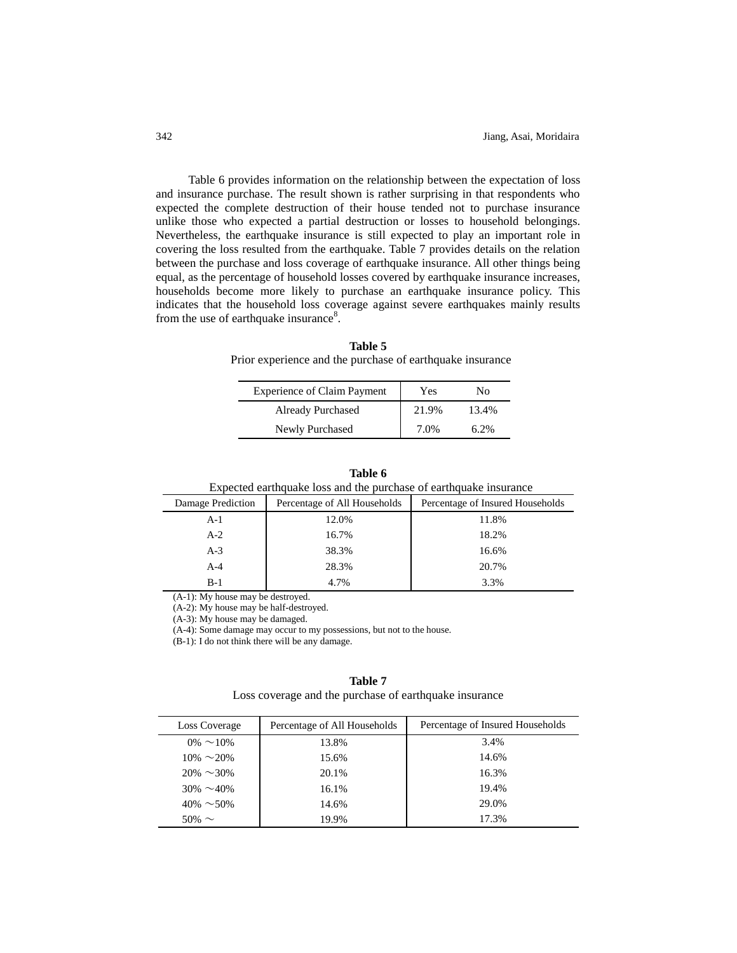Table 6 provides information on the relationship between the expectation of loss and insurance purchase. The result shown is rather surprising in that respondents who expected the complete destruction of their house tended not to purchase insurance unlike those who expected a partial destruction or losses to household belongings. Nevertheless, the earthquake insurance is still expected to play an important role in covering the loss resulted from the earthquake. Table 7 provides details on the relation between the purchase and loss coverage of earthquake insurance. All other things being equal, as the percentage of household losses covered by earthquake insurance increases, households become more likely to purchase an earthquake insurance policy. This indicates that the household loss coverage against severe earthquakes mainly results from the use of earthquake insurance<sup>8</sup>.

**Table 5** Prior experience and the purchase of earthquake insurance

| <b>Experience of Claim Payment</b> | Yes   | Nο      |
|------------------------------------|-------|---------|
| <b>Already Purchased</b>           | 21.9% | 13.4%   |
| Newly Purchased                    | 7.0%  | $6.2\%$ |

| Expected earthquake loss and the purchase of earthquake insurance |       |                                  |  |  |  |
|-------------------------------------------------------------------|-------|----------------------------------|--|--|--|
| Damage Prediction<br>Percentage of All Households                 |       | Percentage of Insured Households |  |  |  |
| $A-1$                                                             | 12.0% | 11.8%                            |  |  |  |
| $A-2$                                                             | 16.7% | 18.2%                            |  |  |  |
| $A-3$                                                             | 38.3% | 16.6%                            |  |  |  |
| $A-4$                                                             | 28.3% | 20.7%                            |  |  |  |
| $B-1$                                                             | 4.7%  | 3.3%                             |  |  |  |

**Table 6**

(A-1): My house may be destroyed.

(A-2): My house may be half-destroyed.

(A-3): My house may be damaged.

(A-4): Some damage may occur to my possessions, but not to the house.

(B-1): I do not think there will be any damage.

# **Table 7**

Loss coverage and the purchase of earthquake insurance

| Loss Coverage    | Percentage of All Households | Percentage of Insured Households |
|------------------|------------------------------|----------------------------------|
| $0\% \sim 10\%$  | 13.8%                        | 3.4%                             |
| $10\% \sim 20\%$ | 15.6%                        | 14.6%                            |
| $20\% \sim 30\%$ | 20.1%                        | 16.3%                            |
| $30\% \sim 40\%$ | 16.1%                        | 19.4%                            |
| $40\% \sim 50\%$ | 14.6%                        | 29.0%                            |
| $50\% \sim$      | 19.9%                        | 17.3%                            |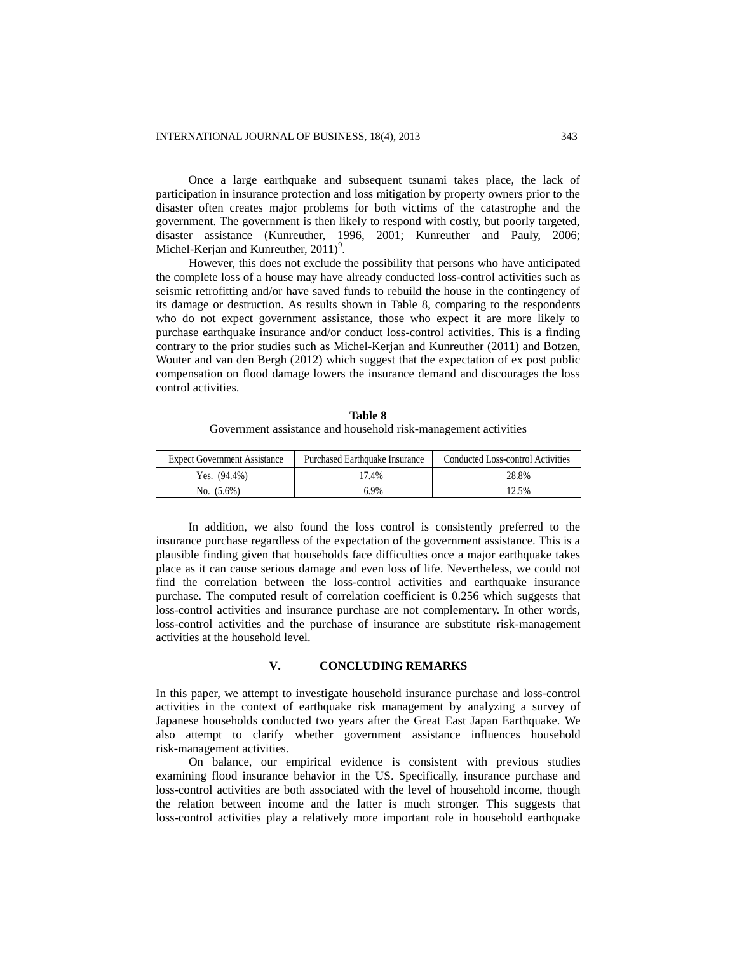Once a large earthquake and subsequent tsunami takes place, the lack of participation in insurance protection and loss mitigation by property owners prior to the disaster often creates major problems for both victims of the catastrophe and the government. The government is then likely to respond with costly, but poorly targeted, disaster assistance (Kunreuther, 1996, 2001; Kunreuther and Pauly, 2006; Michel-Kerjan and Kunreuther,  $2011$ <sup>9</sup>.

However, this does not exclude the possibility that persons who have anticipated the complete loss of a house may have already conducted loss-control activities such as seismic retrofitting and/or have saved funds to rebuild the house in the contingency of its damage or destruction. As results shown in Table 8, comparing to the respondents who do not expect government assistance, those who expect it are more likely to purchase earthquake insurance and/or conduct loss-control activities. This is a finding contrary to the prior studies such as Michel-Kerjan and Kunreuther (2011) and Botzen, Wouter and van den Bergh (2012) which suggest that the expectation of ex post public compensation on flood damage lowers the insurance demand and discourages the loss control activities.

**Table 8** Government assistance and household risk-management activities

| <b>Expect Government Assistance</b> | <b>Purchased Earthquake Insurance</b> | Conducted Loss-control Activities |
|-------------------------------------|---------------------------------------|-----------------------------------|
| Yes. $(94.4\%)$                     | 17.4%                                 | 28.8%                             |
| No. $(5.6\%)$                       | 6.9%                                  | $12.5\%$                          |

In addition, we also found the loss control is consistently preferred to the insurance purchase regardless of the expectation of the government assistance. This is a plausible finding given that households face difficulties once a major earthquake takes place as it can cause serious damage and even loss of life. Nevertheless, we could not find the correlation between the loss-control activities and earthquake insurance purchase. The computed result of correlation coefficient is 0.256 which suggests that loss-control activities and insurance purchase are not complementary. In other words, loss-control activities and the purchase of insurance are substitute risk-management activities at the household level.

# **V. CONCLUDING REMARKS**

In this paper, we attempt to investigate household insurance purchase and loss-control activities in the context of earthquake risk management by analyzing a survey of Japanese households conducted two years after the Great East Japan Earthquake. We also attempt to clarify whether government assistance influences household risk-management activities.

On balance, our empirical evidence is consistent with previous studies examining flood insurance behavior in the US. Specifically, insurance purchase and loss-control activities are both associated with the level of household income, though the relation between income and the latter is much stronger. This suggests that loss-control activities play a relatively more important role in household earthquake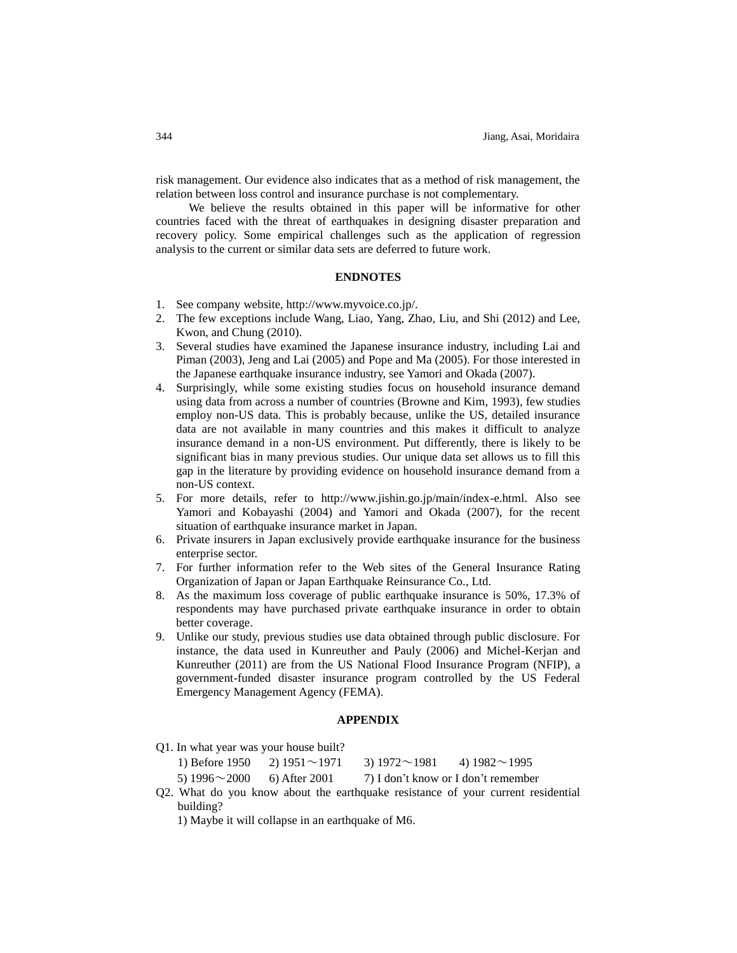risk management. Our evidence also indicates that as a method of risk management, the relation between loss control and insurance purchase is not complementary.

We believe the results obtained in this paper will be informative for other countries faced with the threat of earthquakes in designing disaster preparation and recovery policy. Some empirical challenges such as the application of regression analysis to the current or similar data sets are deferred to future work.

#### **ENDNOTES**

- 1. See company website, http://www.myvoice.co.jp/.
- 2. The few exceptions include Wang, Liao, Yang, Zhao, Liu, and Shi (2012) and Lee, Kwon, and Chung (2010).
- 3. Several studies have examined the Japanese insurance industry, including Lai and Piman (2003), Jeng and Lai (2005) and Pope and Ma (2005). For those interested in the Japanese earthquake insurance industry, see Yamori and Okada (2007).
- 4. Surprisingly, while some existing studies focus on household insurance demand using data from across a number of countries (Browne and Kim, 1993), few studies employ non-US data. This is probably because, unlike the US, detailed insurance data are not available in many countries and this makes it difficult to analyze insurance demand in a non-US environment. Put differently, there is likely to be significant bias in many previous studies. Our unique data set allows us to fill this gap in the literature by providing evidence on household insurance demand from a non-US context.
- 5. For more details, refer to http://www.jishin.go.jp/main/index-e.html. Also see Yamori and Kobayashi (2004) and Yamori and Okada (2007), for the recent situation of earthquake insurance market in Japan.
- 6. Private insurers in Japan exclusively provide earthquake insurance for the business enterprise sector.
- 7. For further information refer to the Web sites of the General Insurance Rating Organization of Japan or Japan Earthquake Reinsurance Co., Ltd.
- 8. As the maximum loss coverage of public earthquake insurance is 50%, 17.3% of respondents may have purchased private earthquake insurance in order to obtain better coverage.
- 9. Unlike our study, previous studies use data obtained through public disclosure. For instance, the data used in Kunreuther and Pauly (2006) and Michel-Kerjan and Kunreuther (2011) are from the US National Flood Insurance Program (NFIP), a government-funded disaster insurance program controlled by the US Federal Emergency Management Agency (FEMA).

#### **APPENDIX**

Q1. In what year was your house built?

| 1) Before 1950                    | 2) $1951 \sim 1971$ | 3) $1972 \sim 1981$ | 4) $1982 \sim 1995$                                                         |
|-----------------------------------|---------------------|---------------------|-----------------------------------------------------------------------------|
| 5) $1996 \sim 2000$ 6) After 2001 |                     |                     | 7) I don't know or I don't remember                                         |
|                                   |                     |                     | If What do you know about the earthquake resistance of your current resides |

Q2. What do you know about the earthquake resistance of your current residential building?

1) Maybe it will collapse in an earthquake of M6.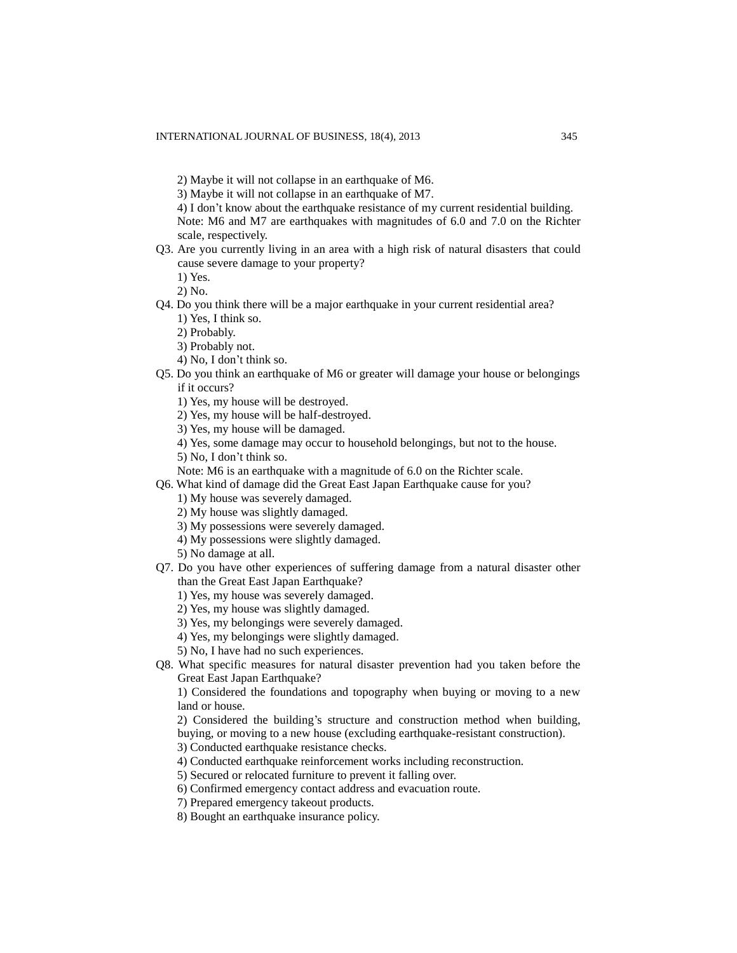- 3) Maybe it will not collapse in an earthquake of M7.
- 4) I don't know about the earthquake resistance of my current residential building. Note: M6 and M7 are earthquakes with magnitudes of 6.0 and 7.0 on the Richter scale, respectively.
- Q3. Are you currently living in an area with a high risk of natural disasters that could cause severe damage to your property?

1) Yes.

2) No.

- Q4. Do you think there will be a major earthquake in your current residential area?
	- 1) Yes, I think so.
	- 2) Probably.
	- 3) Probably not.
	- 4) No, I don't think so.
- Q5. Do you think an earthquake of M6 or greater will damage your house or belongings if it occurs?
	- 1) Yes, my house will be destroyed.
	- 2) Yes, my house will be half-destroyed.
	- 3) Yes, my house will be damaged.
	- 4) Yes, some damage may occur to household belongings, but not to the house.
	- 5) No, I don't think so.
	- Note: M6 is an earthquake with a magnitude of 6.0 on the Richter scale.
- Q6. What kind of damage did the Great East Japan Earthquake cause for you?
	- 1) My house was severely damaged.
	- 2) My house was slightly damaged.
	- 3) My possessions were severely damaged.
	- 4) My possessions were slightly damaged.
	- 5) No damage at all.
- Q7. Do you have other experiences of suffering damage from a natural disaster other than the Great East Japan Earthquake?
	- 1) Yes, my house was severely damaged.
	- 2) Yes, my house was slightly damaged.
	- 3) Yes, my belongings were severely damaged.
	- 4) Yes, my belongings were slightly damaged.
	- 5) No, I have had no such experiences.
- Q8. What specific measures for natural disaster prevention had you taken before the Great East Japan Earthquake?

1) Considered the foundations and topography when buying or moving to a new land or house.

- 2) Considered the building's structure and construction method when building, buying, or moving to a new house (excluding earthquake-resistant construction).
- 3) Conducted earthquake resistance checks.
- 4) Conducted earthquake reinforcement works including reconstruction.
- 5) Secured or relocated furniture to prevent it falling over.
- 6) Confirmed emergency contact address and evacuation route.
- 7) Prepared emergency takeout products.
- 8) Bought an earthquake insurance policy.

<sup>2)</sup> Maybe it will not collapse in an earthquake of M6.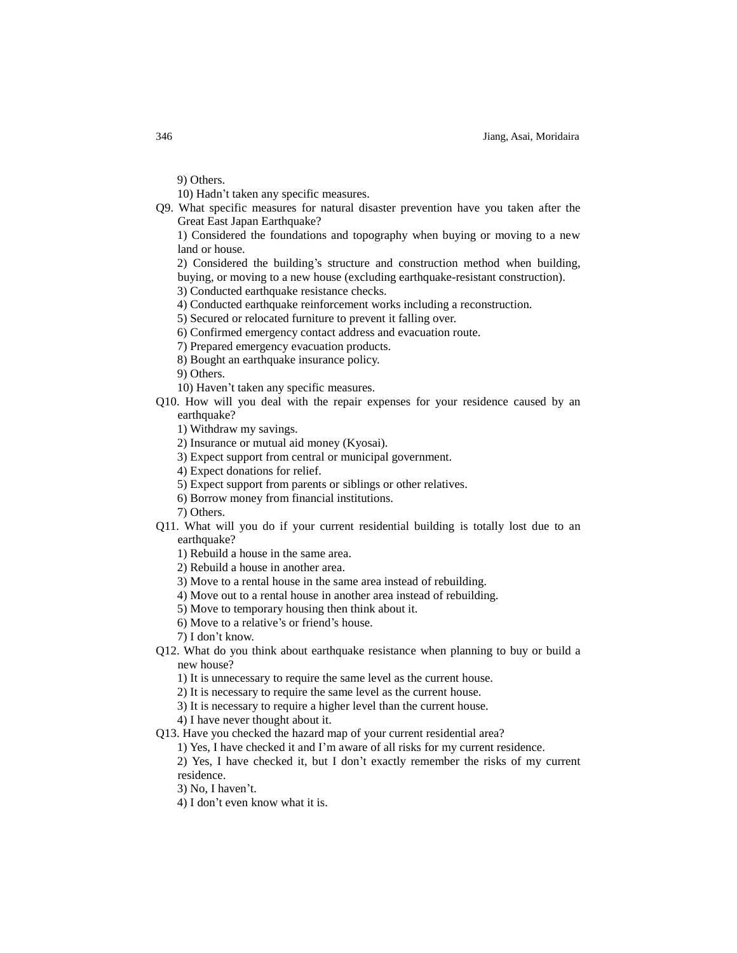9) Others.

10) Hadn't taken any specific measures.

Q9. What specific measures for natural disaster prevention have you taken after the Great East Japan Earthquake?

1) Considered the foundations and topography when buying or moving to a new land or house.

2) Considered the building's structure and construction method when building, buying, or moving to a new house (excluding earthquake-resistant construction).

3) Conducted earthquake resistance checks.

4) Conducted earthquake reinforcement works including a reconstruction.

5) Secured or relocated furniture to prevent it falling over.

6) Confirmed emergency contact address and evacuation route.

7) Prepared emergency evacuation products.

8) Bought an earthquake insurance policy.

9) Others.

10) Haven't taken any specific measures.

Q10. How will you deal with the repair expenses for your residence caused by an earthquake?

1) Withdraw my savings.

2) Insurance or mutual aid money (Kyosai).

3) Expect support from central or municipal government.

4) Expect donations for relief.

5) Expect support from parents or siblings or other relatives.

6) Borrow money from financial institutions.

7) Others.

Q11. What will you do if your current residential building is totally lost due to an earthquake?

1) Rebuild a house in the same area.

2) Rebuild a house in another area.

3) Move to a rental house in the same area instead of rebuilding.

4) Move out to a rental house in another area instead of rebuilding.

5) Move to temporary housing then think about it.

6) Move to a relative's or friend's house.

7) I don't know.

Q12. What do you think about earthquake resistance when planning to buy or build a new house?

1) It is unnecessary to require the same level as the current house.

2) It is necessary to require the same level as the current house.

3) It is necessary to require a higher level than the current house.

4) I have never thought about it.

Q13. Have you checked the hazard map of your current residential area?

1) Yes, I have checked it and I'm aware of all risks for my current residence.

2) Yes, I have checked it, but I don't exactly remember the risks of my current residence.

3) No, I haven't.

4) I don't even know what it is.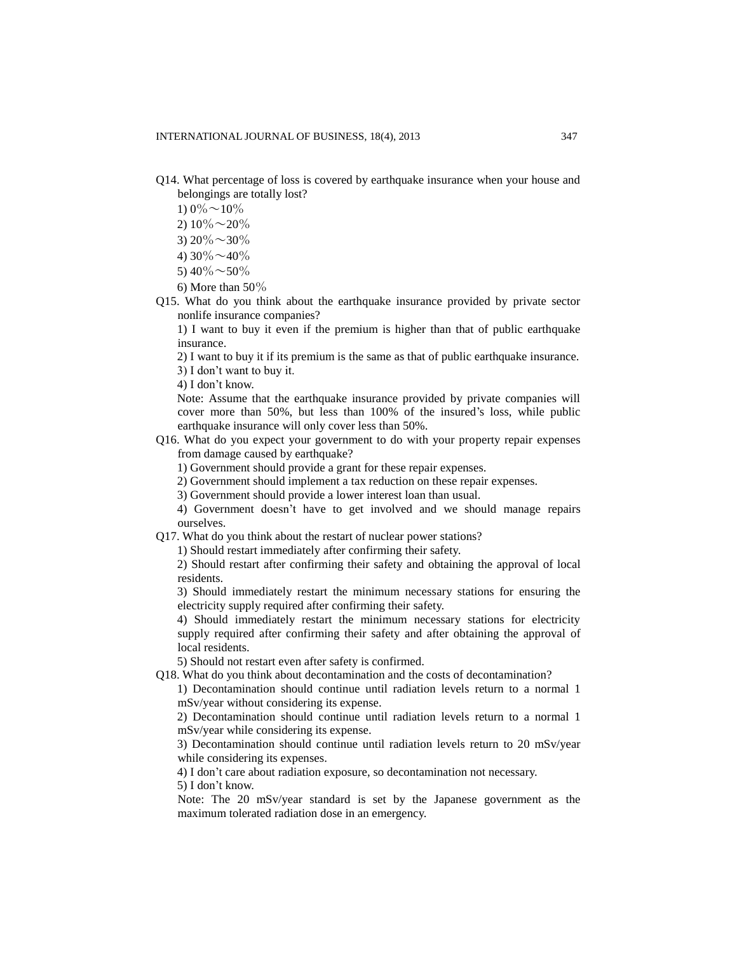- Q14. What percentage of loss is covered by earthquake insurance when your house and belongings are totally lost?
	- 1)  $0\% \sim 10\%$
	- 2)  $10\% \sim 20\%$
	- 3)  $20\% \sim 30\%$
	- 4)  $30\% \sim 40\%$
	- 5)  $40\% \sim 50\%$
	- 6) More than  $50\%$
- Q15. What do you think about the earthquake insurance provided by private sector nonlife insurance companies?

1) I want to buy it even if the premium is higher than that of public earthquake insurance.

2) I want to buy it if its premium is the same as that of public earthquake insurance.

3) I don't want to buy it.

4) I don't know.

Note: Assume that the earthquake insurance provided by private companies will cover more than 50%, but less than 100% of the insured's loss, while public earthquake insurance will only cover less than 50%.

Q16. What do you expect your government to do with your property repair expenses from damage caused by earthquake?

1) Government should provide a grant for these repair expenses.

2) Government should implement a tax reduction on these repair expenses.

3) Government should provide a lower interest loan than usual.

4) Government doesn't have to get involved and we should manage repairs ourselves.

Q17. What do you think about the restart of nuclear power stations?

1) Should restart immediately after confirming their safety.

2) Should restart after confirming their safety and obtaining the approval of local residents.

3) Should immediately restart the minimum necessary stations for ensuring the electricity supply required after confirming their safety.

4) Should immediately restart the minimum necessary stations for electricity supply required after confirming their safety and after obtaining the approval of local residents.

5) Should not restart even after safety is confirmed.

Q18. What do you think about decontamination and the costs of decontamination?

1) Decontamination should continue until radiation levels return to a normal 1 mSv/year without considering its expense.

2) Decontamination should continue until radiation levels return to a normal 1 mSv/year while considering its expense.

3) Decontamination should continue until radiation levels return to 20 mSv/year while considering its expenses.

4) I don't care about radiation exposure, so decontamination not necessary.

5) I don't know.

Note: The 20 mSv/year standard is set by the Japanese government as the maximum tolerated radiation dose in an emergency.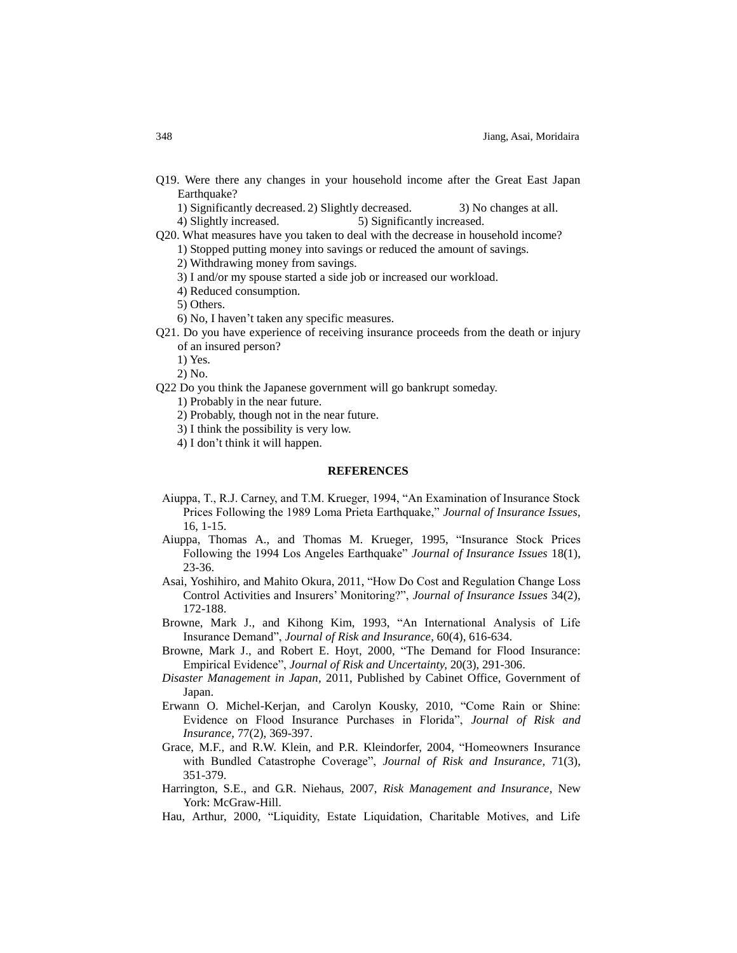Q19. Were there any changes in your household income after the Great East Japan Earthquake?

1) Significantly decreased. 2) Slightly decreased. 3) No changes at all. 4) Slightly increased. 5) Significantly increased.

Q20. What measures have you taken to deal with the decrease in household income?

1) Stopped putting money into savings or reduced the amount of savings.

2) Withdrawing money from savings.

3) I and/or my spouse started a side job or increased our workload.

4) Reduced consumption.

5) Others.

6) No, I haven't taken any specific measures.

Q21. Do you have experience of receiving insurance proceeds from the death or injury of an insured person?

1) Yes.

2) No.

Q22 Do you think the Japanese government will go bankrupt someday.

1) Probably in the near future.

2) Probably, though not in the near future.

3) I think the possibility is very low.

4) I don't think it will happen.

# **REFERENCES**

- Aiuppa, T., R.J. Carney, and T.M. Krueger, 1994, "An Examination of Insurance Stock Prices Following the 1989 Loma Prieta Earthquake," *Journal of Insurance Issues*, 16, 1-15.
- Aiuppa, Thomas A., and Thomas M. Krueger, 1995, "Insurance Stock Prices Following the 1994 Los Angeles Earthquake" *Journal of Insurance Issues* 18(1), 23-36.
- Asai, Yoshihiro, and Mahito Okura, 2011, "How Do Cost and Regulation Change Loss Control Activities and Insurers' Monitoring?", *Journal of Insurance Issues* 34(2), 172-188.
- Browne, Mark J., and Kihong Kim, 1993, "An International Analysis of Life Insurance Demand", *Journal of Risk and Insurance*, 60(4), 616-634.
- Browne, Mark J., and Robert E. Hoyt, 2000, "The Demand for Flood Insurance: Empirical Evidence", *Journal of Risk and Uncertainty,* 20(3), 291-306.
- *Disaster Management in Japan,* 2011, Published by Cabinet Office, Government of Japan.
- Erwann O. Michel-Kerjan, and Carolyn Kousky, 2010, "Come Rain or Shine: Evidence on Flood Insurance Purchases in Florida", *Journal of Risk and Insurance,* 77(2), 369-397.
- Grace, M.F., and R.W. Klein, and P.R. Kleindorfer, 2004, "Homeowners Insurance with Bundled Catastrophe Coverage", *Journal of Risk and Insurance,* 71(3), 351-379.
- Harrington, S.E., and G.R. Niehaus, 2007, *Risk Management and Insurance*, New York: McGraw-Hill.
- Hau, Arthur, 2000, "Liquidity, Estate Liquidation, Charitable Motives, and Life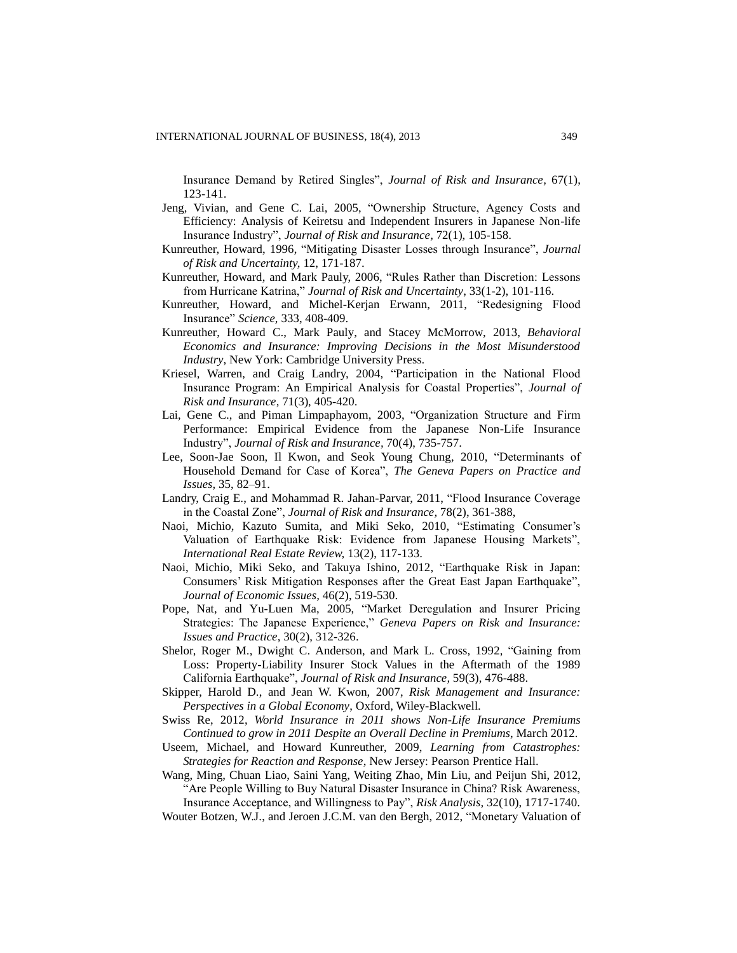Insurance Demand by Retired Singles", *Journal of Risk and Insurance,* 67(1), 123-141.

- Jeng, Vivian, and Gene C. Lai, 2005, "Ownership Structure, Agency Costs and Efficiency: Analysis of Keiretsu and Independent Insurers in Japanese Non-life Insurance Industry", *Journal of Risk and Insurance,* 72(1), 105-158.
- Kunreuther, Howard, 1996, "Mitigating Disaster Losses through Insurance", *Journal of Risk and Uncertainty,* 12, 171-187.
- Kunreuther, Howard, and Mark Pauly, 2006, "Rules Rather than Discretion: Lessons from Hurricane Katrina," *Journal of Risk and Uncertainty*, 33(1-2), 101-116.
- Kunreuther, Howard, and Michel-Kerjan Erwann, 2011, "Redesigning Flood Insurance" *Science,* 333, 408-409.
- Kunreuther, Howard C., Mark Pauly, and Stacey McMorrow, 2013, *Behavioral Economics and Insurance: Improving Decisions in the Most Misunderstood Industry*, New York: Cambridge University Press.
- Kriesel, Warren, and Craig Landry, 2004, "Participation in the National Flood Insurance Program: An Empirical Analysis for Coastal Properties", *Journal of Risk and Insurance,* 71(3), 405-420.
- Lai, Gene C., and Piman Limpaphayom, 2003, "Organization Structure and Firm Performance: Empirical Evidence from the Japanese Non-Life Insurance Industry", *Journal of Risk and Insurance,* 70(4), 735-757.
- Lee, Soon-Jae Soon, Il Kwon, and Seok Young Chung, 2010, "Determinants of Household Demand for Case of Korea", *The Geneva Papers on Practice and Issues,* 35, 82–91.
- Landry, Craig E., and Mohammad R. Jahan-Parvar, 2011, "Flood Insurance Coverage in the Coastal Zone", *Journal of Risk and Insurance,* 78(2), 361-388,
- Naoi, Michio, Kazuto Sumita, and Miki Seko, 2010, "Estimating Consumer's Valuation of Earthquake Risk: Evidence from Japanese Housing Markets", *International Real Estate Review,* 13(2), 117-133.
- Naoi, Michio, Miki Seko, and Takuya Ishino, 2012, "Earthquake Risk in Japan: Consumers' Risk Mitigation Responses after the Great East Japan Earthquake", *Journal of Economic Issues,* 46(2), 519-530.
- Pope, Nat, and Yu-Luen Ma, 2005, "Market Deregulation and Insurer Pricing Strategies: The Japanese Experience," *Geneva Papers on Risk and Insurance: Issues and Practice*, 30(2), 312-326.
- Shelor, Roger M., Dwight C. Anderson, and Mark L. Cross, 1992, "Gaining from Loss: Property-Liability Insurer Stock Values in the Aftermath of the 1989 California Earthquake", *Journal of Risk and Insurance,* 59(3), 476-488.
- Skipper, Harold D., and Jean W. Kwon, 2007, *Risk Management and Insurance: Perspectives in a Global Economy*, Oxford, Wiley-Blackwell.
- Swiss Re, 2012, *World Insurance in 2011 shows Non-Life Insurance Premiums Continued to grow in 2011 Despite an Overall Decline in Premiums*, March 2012.
- Useem, Michael, and Howard Kunreuther, 2009, *Learning from Catastrophes: Strategies for Reaction and Response*, New Jersey: Pearson Prentice Hall.

Wang, Ming, Chuan Liao, Saini Yang, Weiting Zhao, Min Liu, and Peijun Shi, 2012, "Are People Willing to Buy Natural Disaster Insurance in China? Risk Awareness, Insurance Acceptance, and Willingness to Pay", *Risk Analysis,* 32(10), 1717-1740.